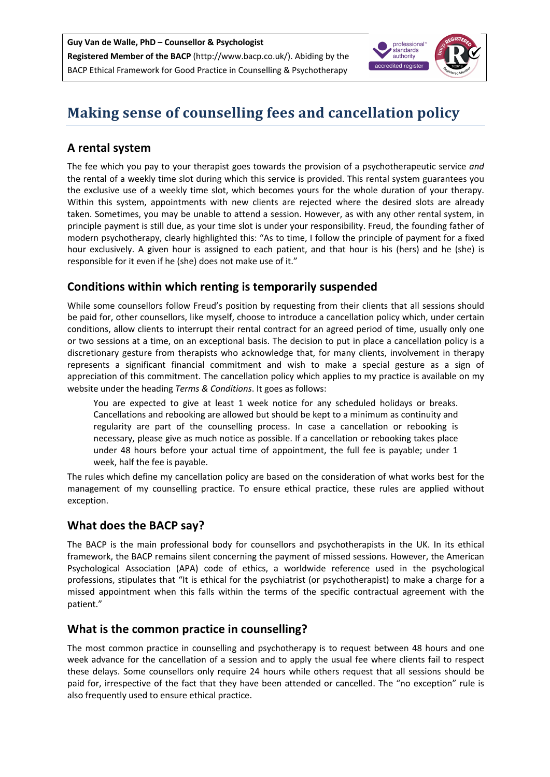

# **Making sense of counselling fees and cancellation policy**

## **A rental system**

The fee which you pay to your therapist goes towards the provision of a psychotherapeutic service *and* the rental of a weekly time slot during which this service is provided. This rental system guarantees you the exclusive use of a weekly time slot, which becomes yours for the whole duration of your therapy. Within this system, appointments with new clients are rejected where the desired slots are already taken. Sometimes, you may be unable to attend a session. However, as with any other rental system, in principle payment is still due, as your time slot is under your responsibility. Freud, the founding father of modern psychotherapy, clearly highlighted this: "As to time, I follow the principle of payment for a fixed hour exclusively. A given hour is assigned to each patient, and that hour is his (hers) and he (she) is responsible for it even if he (she) does not make use of it."

## **Conditions within which renting is temporarily suspended**

While some counsellors follow Freud's position by requesting from their clients that all sessions should be paid for, other counsellors, like myself, choose to introduce a cancellation policy which, under certain conditions, allow clients to interrupt their rental contract for an agreed period of time, usually only one or two sessions at a time, on an exceptional basis. The decision to put in place a cancellation policy is a discretionary gesture from therapists who acknowledge that, for many clients, involvement in therapy represents a significant financial commitment and wish to make a special gesture as a sign of appreciation of this commitment. The cancellation policy which applies to my practice is available on my website under the heading *Terms & Conditions*. It goes as follows:

You are expected to give at least 1 week notice for any scheduled holidays or breaks. Cancellations and rebooking are allowed but should be kept to a minimum as continuity and regularity are part of the counselling process. In case a cancellation or rebooking is necessary, please give as much notice as possible. If a cancellation or rebooking takes place under 48 hours before your actual time of appointment, the full fee is payable; under 1 week, half the fee is payable.

The rules which define my cancellation policy are based on the consideration of what works best for the management of my counselling practice. To ensure ethical practice, these rules are applied without exception.

# **What does the BACP say?**

The BACP is the main professional body for counsellors and psychotherapists in the UK. In its ethical framework, the BACP remains silent concerning the payment of missed sessions. However, the American Psychological Association (APA) code of ethics, a worldwide reference used in the psychological professions, stipulates that "It is ethical for the psychiatrist (or psychotherapist) to make a charge for a missed appointment when this falls within the terms of the specific contractual agreement with the patient."

### **What is the common practice in counselling?**

The most common practice in counselling and psychotherapy is to request between 48 hours and one week advance for the cancellation of a session and to apply the usual fee where clients fail to respect these delays. Some counsellors only require 24 hours while others request that all sessions should be paid for, irrespective of the fact that they have been attended or cancelled. The "no exception" rule is also frequently used to ensure ethical practice.